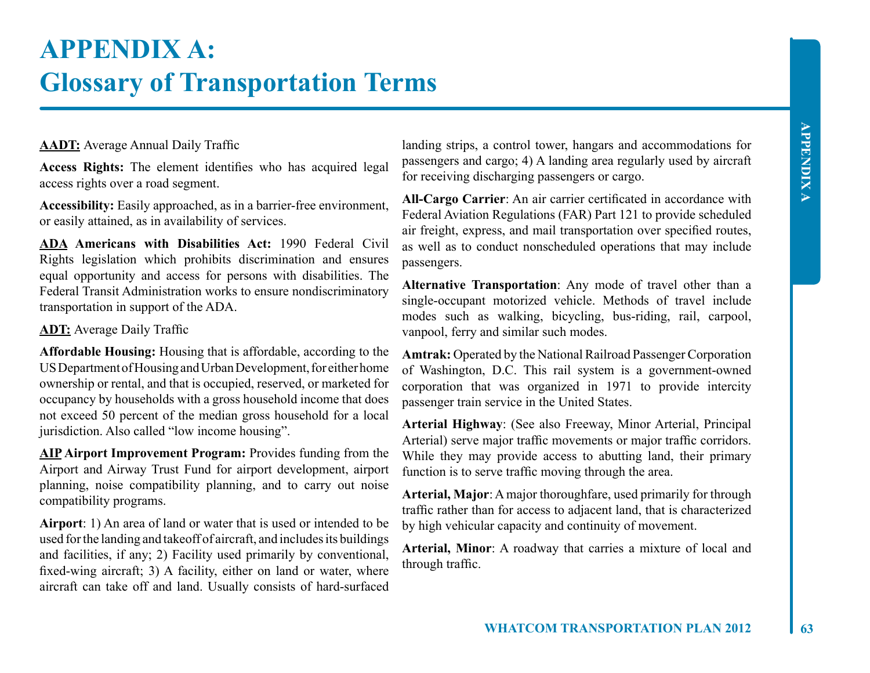# **APPENDIX A: Glossary of Transportation Terms**

## **AADT:** Average Annual Daily Traffic

**Access Rights:** The element identifies who has acquired legal access rights over a road segment.

**Accessibility:** Easily approached, as in a barrier-free environment, or easily attained, as in availability of services.

**ADA Americans with Disabilities Act:** 1990 Federal Civil Rights legislation which prohibits discrimination and ensures equal opportunity and access for persons with disabilities. The Federal Transit Administration works to ensure nondiscriminatory transportation in support of the ADA.

### **ADT:** Average Daily Traffic

**Affordable Housing:** Housing that is affordable, according to the US Department of Housing and Urban Development, for either home ownership or rental, and that is occupied, reserved, or marketed for occupancy by households with a gross household income that does not exceed 50 percent of the median gross household for a local jurisdiction. Also called "low income housing".

**AIP Airport Improvement Program:** Provides funding from the Airport and Airway Trust Fund for airport development, airport planning, noise compatibility planning, and to carry out noise compatibility programs.

**Airport**: 1) An area of land or water that is used or intended to be used for the landing and takeoff of aircraft, and includes its buildings and facilities, if any; 2) Facility used primarily by conventional, fixed-wing aircraft; 3) A facility, either on land or water, where aircraft can take off and land. Usually consists of hard-surfaced

landing strips, a control tower, hangars and accommodations for passengers and cargo; 4) A landing area regularly used by aircraft for receiving discharging passengers or cargo.

**All-Cargo Carrier**: An air carrier certificated in accordance with Federal Aviation Regulations (FAR) Part 121 to provide scheduled air freight, express, and mail transportation over specified routes, as well as to conduct nonscheduled operations that may include passengers.

**Alternative Transportation**: Any mode of travel other than a single-occupant motorized vehicle. Methods of travel include modes such as walking, bicycling, bus-riding, rail, carpool, vanpool, ferry and similar such modes.

**Amtrak:** Operated by the National Railroad Passenger Corporation of Washington, D.C. This rail system is a government-owned corporation that was organized in 1971 to provide intercity passenger train service in the United States.

**Arterial Highway**: (See also Freeway, Minor Arterial, Principal Arterial) serve major traffic movements or major traffic corridors. While they may provide access to abutting land, their primary function is to serve traffic moving through the area.

**Arterial, Major**: A major thoroughfare, used primarily for through traffic rather than for access to adjacent land, that is characterized by high vehicular capacity and continuity of movement.

**Arterial, Minor**: A roadway that carries a mixture of local and through traffic.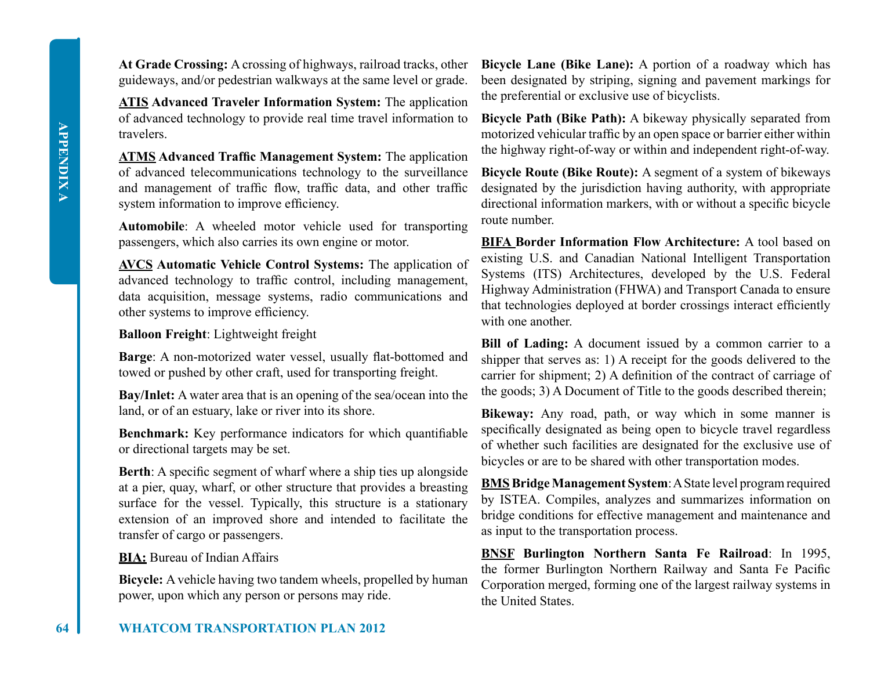**At Grade Crossing:** A crossing of highways, railroad tracks, other guideways, and/or pedestrian walkways at the same level or grade.

**ATIS Advanced Traveler Information System:** The application of advanced technology to provide real time travel information to travelers.

**ATMS Advanced Traffic Management System:** The application of advanced telecommunications technology to the surveillance and management of traffic flow, traffic data, and other traffic system information to improve efficiency.

**Automobile**: A wheeled motor vehicle used for transporting passengers, which also carries its own engine or motor.

**AVCS Automatic Vehicle Control Systems:** The application of advanced technology to traffic control, including management, data acquisition, message systems, radio communications and other systems to improve efficiency.

## **Balloon Freight**: Lightweight freight

**Barge**: A non-motorized water vessel, usually flat-bottomed and towed or pushed by other craft, used for transporting freight.

**Bay/Inlet:** A water area that is an opening of the sea/ocean into the land, or of an estuary, lake or river into its shore.

**Benchmark:** Key performance indicators for which quantifiable or directional targets may be set.

**Berth:** A specific segment of wharf where a ship ties up alongside at a pier, quay, wharf, or other structure that provides a breasting surface for the vessel. Typically, this structure is a stationary extension of an improved shore and intended to facilitate the transfer of cargo or passengers.

## **BIA:** Bureau of Indian Affairs

**Bicycle:** A vehicle having two tandem wheels, propelled by human power, upon which any person or persons may ride.

**Bicycle Lane (Bike Lane):** A portion of a roadway which has been designated by striping, signing and pavement markings for the preferential or exclusive use of bicyclists.

**Bicycle Path (Bike Path):** A bikeway physically separated from motorized vehicular traffic by an open space or barrier either within the highway right-of-way or within and independent right-of-way.

**Bicycle Route (Bike Route):** A segment of a system of bikeways designated by the jurisdiction having authority, with appropriate directional information markers, with or without a specific bicycle route number.

**BIFA Border Information Flow Architecture:** A tool based on existing U.S. and Canadian National Intelligent Transportation Systems (ITS) Architectures, developed by the U.S. Federal Highway Administration (FHWA) and Transport Canada to ensure that technologies deployed at border crossings interact efficiently with one another.

**Bill of Lading:** A document issued by a common carrier to a shipper that serves as: 1) A receipt for the goods delivered to the carrier for shipment; 2) A definition of the contract of carriage of the goods; 3) A Document of Title to the goods described therein;

**Bikeway:** Any road, path, or way which in some manner is specifically designated as being open to bicycle travel regardless of whether such facilities are designated for the exclusive use of bicycles or are to be shared with other transportation modes.

**BMS Bridge Management System**: A State level program required by ISTEA. Compiles, analyzes and summarizes information on bridge conditions for effective management and maintenance and as input to the transportation process.

**BNSF Burlington Northern Santa Fe Railroad**: In 1995, the former Burlington Northern Railway and Santa Fe Pacific Corporation merged, forming one of the largest railway systems in the United States.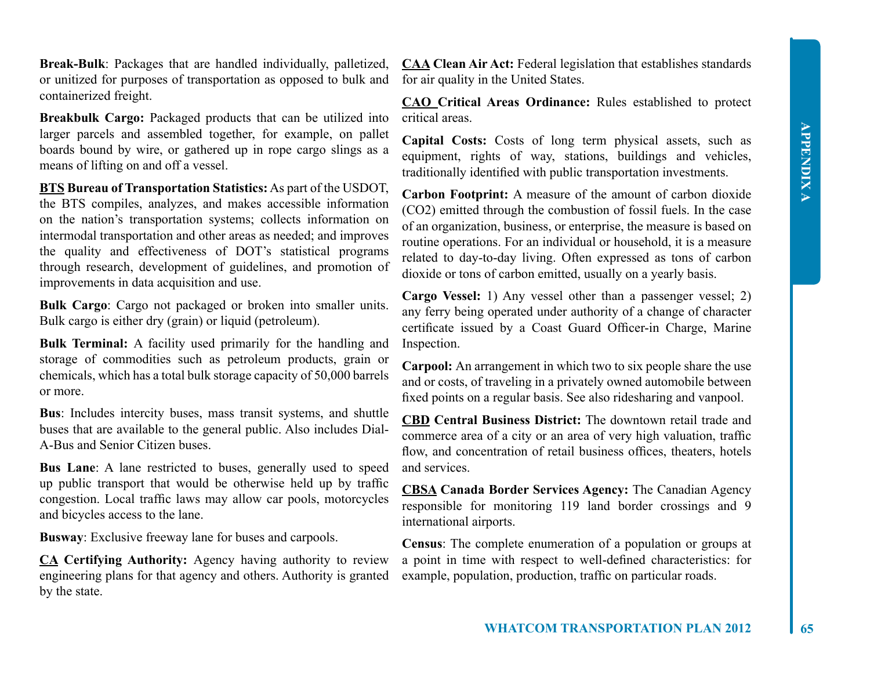**Break-Bulk**: Packages that are handled individually, palletized, or unitized for purposes of transportation as opposed to bulk and containerized freight.

**Breakbulk Cargo:** Packaged products that can be utilized into larger parcels and assembled together, for example, on pallet boards bound by wire, or gathered up in rope cargo slings as a means of lifting on and off a vessel.

**BTS Bureau of Transportation Statistics:** As part of the USDOT, the BTS compiles, analyzes, and makes accessible information on the nation's transportation systems; collects information on intermodal transportation and other areas as needed; and improves the quality and effectiveness of DOT's statistical programs through research, development of guidelines, and promotion of improvements in data acquisition and use.

**Bulk Cargo**: Cargo not packaged or broken into smaller units. Bulk cargo is either dry (grain) or liquid (petroleum).

**Bulk Terminal:** A facility used primarily for the handling and storage of commodities such as petroleum products, grain or chemicals, which has a total bulk storage capacity of 50,000 barrels or more.

**Bus**: Includes intercity buses, mass transit systems, and shuttle buses that are available to the general public. Also includes Dial-A-Bus and Senior Citizen buses.

**Bus Lane**: A lane restricted to buses, generally used to speed up public transport that would be otherwise held up by traffic congestion. Local traffic laws may allow car pools, motorcycles and bicycles access to the lane.

**Busway**: Exclusive freeway lane for buses and carpools.

**CA Certifying Authority:** Agency having authority to review engineering plans for that agency and others. Authority is granted by the state.

**CAA Clean Air Act:** Federal legislation that establishes standards for air quality in the United States.

**CAO Critical Areas Ordinance:** Rules established to protect critical areas.

**Capital Costs:** Costs of long term physical assets, such as equipment, rights of way, stations, buildings and vehicles, traditionally identified with public transportation investments.

**Carbon Footprint:** A measure of the amount of carbon dioxide (CO2) emitted through the combustion of fossil fuels. In the case of an organization, business, or enterprise, the measure is based on routine operations. For an individual or household, it is a measure related to day-to-day living. Often expressed as tons of carbon dioxide or tons of carbon emitted, usually on a yearly basis.

**Cargo Vessel:** 1) Any vessel other than a passenger vessel; 2) any ferry being operated under authority of a change of character certificate issued by a Coast Guard Officer-in Charge, Marine Inspection.

**Carpool:** An arrangement in which two to six people share the use and or costs, of traveling in a privately owned automobile between fixed points on a regular basis. See also ridesharing and vanpool.

**CBD Central Business District:** The downtown retail trade and commerce area of a city or an area of very high valuation, traffic flow, and concentration of retail business offices, theaters, hotels and services.

**CBSA Canada Border Services Agency:** The Canadian Agency responsible for monitoring 119 land border crossings and 9 international airports.

**Census**: The complete enumeration of a population or groups at a point in time with respect to well-defined characteristics: for example, population, production, traffic on particular roads.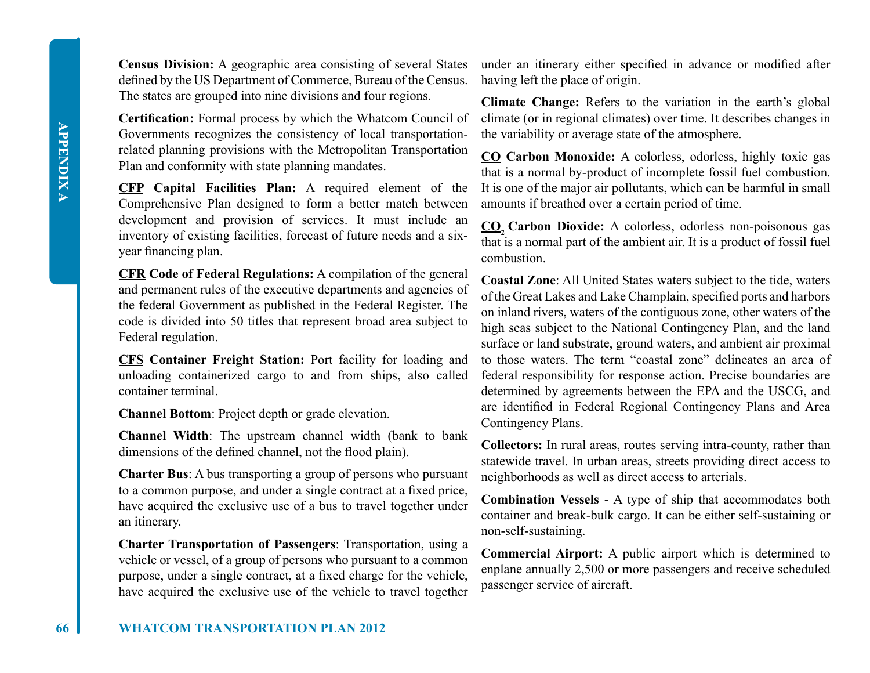**66 WHATCOM TRANSPORTATION PLAN 2012**

**Census Division:** A geographic area consisting of several States defined by the US Department of Commerce, Bureau of the Census. The states are grouped into nine divisions and four regions.

**Certification:** Formal process by which the Whatcom Council of Governments recognizes the consistency of local transportationrelated planning provisions with the Metropolitan Transportation Plan and conformity with state planning mandates.

**CFP Capital Facilities Plan:** A required element of the Comprehensive Plan designed to form a better match between development and provision of services. It must include an inventory of existing facilities, forecast of future needs and a sixyear financing plan.

**CFR Code of Federal Regulations:** A compilation of the general and permanent rules of the executive departments and agencies of the federal Government as published in the Federal Register. The code is divided into 50 titles that represent broad area subject to Federal regulation.

**CFS Container Freight Station:** Port facility for loading and unloading containerized cargo to and from ships, also called container terminal.

**Channel Bottom**: Project depth or grade elevation.

**Channel Width**: The upstream channel width (bank to bank dimensions of the defined channel, not the flood plain).

**Charter Bus**: A bus transporting a group of persons who pursuant to a common purpose, and under a single contract at a fixed price, have acquired the exclusive use of a bus to travel together under an itinerary.

**Charter Transportation of Passengers**: Transportation, using a vehicle or vessel, of a group of persons who pursuant to a common purpose, under a single contract, at a fixed charge for the vehicle, have acquired the exclusive use of the vehicle to travel together

under an itinerary either specified in advance or modified after having left the place of origin.

**Climate Change:** Refers to the variation in the earth's global climate (or in regional climates) over time. It describes changes in the variability or average state of the atmosphere.

**CO Carbon Monoxide:** A colorless, odorless, highly toxic gas that is a normal by-product of incomplete fossil fuel combustion. It is one of the major air pollutants, which can be harmful in small amounts if breathed over a certain period of time.

**CO2 Carbon Dioxide:** A colorless, odorless non-poisonous gas that is a normal part of the ambient air. It is a product of fossil fuel combustion.

**Coastal Zone**: All United States waters subject to the tide, waters of the Great Lakes and Lake Champlain, specified ports and harbors on inland rivers, waters of the contiguous zone, other waters of the high seas subject to the National Contingency Plan, and the land surface or land substrate, ground waters, and ambient air proximal to those waters. The term "coastal zone" delineates an area of federal responsibility for response action. Precise boundaries are determined by agreements between the EPA and the USCG, and are identified in Federal Regional Contingency Plans and Area Contingency Plans.

**Collectors:** In rural areas, routes serving intra-county, rather than statewide travel. In urban areas, streets providing direct access to neighborhoods as well as direct access to arterials.

**Combination Vessels** - A type of ship that accommodates both container and break-bulk cargo. It can be either self-sustaining or non-self-sustaining.

**Commercial Airport:** A public airport which is determined to enplane annually 2,500 or more passengers and receive scheduled passenger service of aircraft.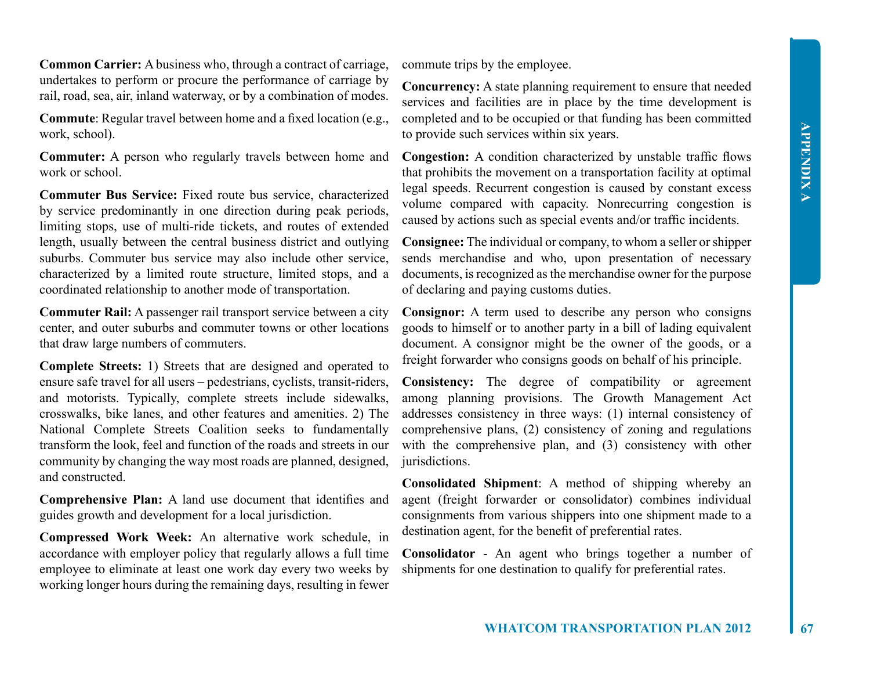**Common Carrier:** A business who, through a contract of carriage, undertakes to perform or procure the performance of carriage by rail, road, sea, air, inland waterway, or by a combination of modes.

**Commute**: Regular travel between home and a fixed location (e.g., work, school).

**Commuter:** A person who regularly travels between home and work or school

**Commuter Bus Service:** Fixed route bus service, characterized by service predominantly in one direction during peak periods, limiting stops, use of multi-ride tickets, and routes of extended length, usually between the central business district and outlying suburbs. Commuter bus service may also include other service, characterized by a limited route structure, limited stops, and a coordinated relationship to another mode of transportation.

**Commuter Rail:** A passenger rail transport service between a city center, and outer suburbs and commuter towns or other locations that draw large numbers of commuters.

**Complete Streets:** 1) Streets that are designed and operated to ensure safe travel for all users – pedestrians, cyclists, transit-riders, and motorists. Typically, complete streets include sidewalks, crosswalks, bike lanes, and other features and amenities. 2) The National Complete Streets Coalition seeks to fundamentally transform the look, feel and function of the roads and streets in our community by changing the way most roads are planned, designed, and constructed.

**Comprehensive Plan:** A land use document that identifies and guides growth and development for a local jurisdiction.

**Compressed Work Week:** An alternative work schedule, in accordance with employer policy that regularly allows a full time employee to eliminate at least one work day every two weeks by working longer hours during the remaining days, resulting in fewer

commute trips by the employee.

**Concurrency:** A state planning requirement to ensure that needed services and facilities are in place by the time development is completed and to be occupied or that funding has been committed to provide such services within six years.

**Congestion:** A condition characterized by unstable traffic flows that prohibits the movement on a transportation facility at optimal legal speeds. Recurrent congestion is caused by constant excess volume compared with capacity. Nonrecurring congestion is caused by actions such as special events and/or traffic incidents.

**Consignee:** The individual or company, to whom a seller or shipper sends merchandise and who, upon presentation of necessary documents, is recognized as the merchandise owner for the purpose of declaring and paying customs duties.

**Consignor:** A term used to describe any person who consigns goods to himself or to another party in a bill of lading equivalent document. A consignor might be the owner of the goods, or a freight forwarder who consigns goods on behalf of his principle.

**Consistency:** The degree of compatibility or agreement among planning provisions. The Growth Management Act addresses consistency in three ways: (1) internal consistency of comprehensive plans, (2) consistency of zoning and regulations with the comprehensive plan, and (3) consistency with other jurisdictions.

**Consolidated Shipment**: A method of shipping whereby an agent (freight forwarder or consolidator) combines individual consignments from various shippers into one shipment made to a destination agent, for the benefit of preferential rates.

**Consolidator** - An agent who brings together a number of shipments for one destination to qualify for preferential rates.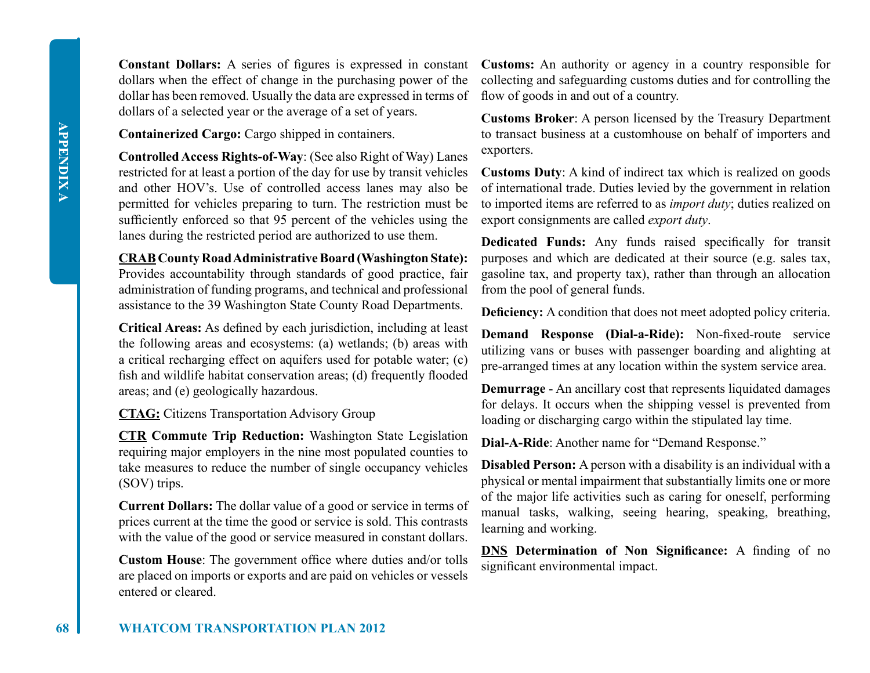dollars when the effect of change in the purchasing power of the dollar has been removed. Usually the data are expressed in terms of dollars of a selected year or the average of a set of years.

**Containerized Cargo:** Cargo shipped in containers.

**Controlled Access Rights-of-Way**: (See also Right of Way) Lanes restricted for at least a portion of the day for use by transit vehicles and other HOV's. Use of controlled access lanes may also be permitted for vehicles preparing to turn. The restriction must be sufficiently enforced so that 95 percent of the vehicles using the lanes during the restricted period are authorized to use them.

**CRAB County Road Administrative Board (Washington State):** Provides accountability through standards of good practice, fair administration of funding programs, and technical and professional assistance to the 39 Washington State County Road Departments.

**Critical Areas:** As defined by each jurisdiction, including at least the following areas and ecosystems: (a) wetlands; (b) areas with a critical recharging effect on aquifers used for potable water; (c) fish and wildlife habitat conservation areas; (d) frequently flooded areas; and (e) geologically hazardous.

**CTAG:** Citizens Transportation Advisory Group

**CTR Commute Trip Reduction:** Washington State Legislation requiring major employers in the nine most populated counties to take measures to reduce the number of single occupancy vehicles (SOV) trips.

**Current Dollars:** The dollar value of a good or service in terms of prices current at the time the good or service is sold. This contrasts with the value of the good or service measured in constant dollars.

**Custom House**: The government office where duties and/or tolls are placed on imports or exports and are paid on vehicles or vessels entered or cleared.

**Constant Dollars:** A series of figures is expressed in constant **Customs:** An authority or agency in a country responsible for collecting and safeguarding customs duties and for controlling the flow of goods in and out of a country.

> **Customs Broker**: A person licensed by the Treasury Department to transact business at a customhouse on behalf of importers and exporters.

> **Customs Duty**: A kind of indirect tax which is realized on goods of international trade. Duties levied by the government in relation to imported items are referred to as *import duty*; duties realized on export consignments are called *export duty*.

> **Dedicated Funds:** Any funds raised specifically for transit purposes and which are dedicated at their source (e.g. sales tax, gasoline tax, and property tax), rather than through an allocation from the pool of general funds.

> **Deficiency:** A condition that does not meet adopted policy criteria.

**Demand Response (Dial-a-Ride):** Non-fixed-route service utilizing vans or buses with passenger boarding and alighting at pre-arranged times at any location within the system service area.

**Demurrage** - An ancillary cost that represents liquidated damages for delays. It occurs when the shipping vessel is prevented from loading or discharging cargo within the stipulated lay time.

**Dial-A-Ride**: Another name for "Demand Response."

**Disabled Person:** A person with a disability is an individual with a physical or mental impairment that substantially limits one or more of the major life activities such as caring for oneself, performing manual tasks, walking, seeing hearing, speaking, breathing, learning and working.

**DNS Determination of Non Significance:** A finding of no significant environmental impact.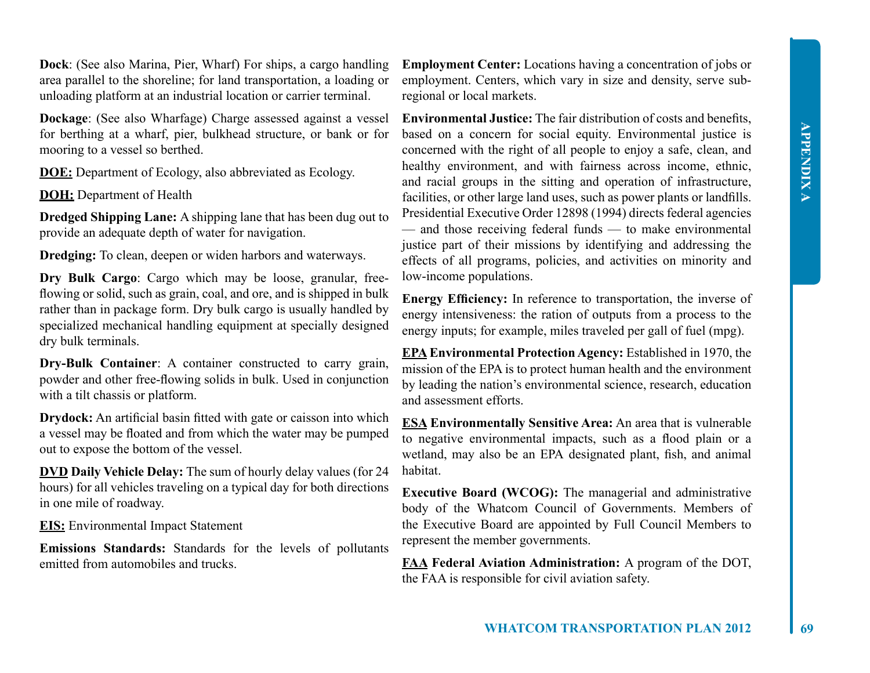**Dock**: (See also Marina, Pier, Wharf) For ships, a cargo handling area parallel to the shoreline; for land transportation, a loading or unloading platform at an industrial location or carrier terminal.

**Dockage**: (See also Wharfage) Charge assessed against a vessel for berthing at a wharf, pier, bulkhead structure, or bank or for mooring to a vessel so berthed.

**DOE:** Department of Ecology, also abbreviated as Ecology.

**DOH:** Department of Health

**Dredged Shipping Lane:** A shipping lane that has been dug out to provide an adequate depth of water for navigation.

**Dredging:** To clean, deepen or widen harbors and waterways.

**Dry Bulk Cargo**: Cargo which may be loose, granular, freeflowing or solid, such as grain, coal, and ore, and is shipped in bulk rather than in package form. Dry bulk cargo is usually handled by specialized mechanical handling equipment at specially designed dry bulk terminals.

**Dry-Bulk Container**: A container constructed to carry grain, powder and other free-flowing solids in bulk. Used in conjunction with a tilt chassis or platform.

**Drydock:** An artificial basin fitted with gate or caisson into which a vessel may be floated and from which the water may be pumped out to expose the bottom of the vessel.

**DVD Daily Vehicle Delay:** The sum of hourly delay values (for 24 hours) for all vehicles traveling on a typical day for both directions in one mile of roadway.

**EIS:** Environmental Impact Statement

**Emissions Standards:** Standards for the levels of pollutants emitted from automobiles and trucks.

**Employment Center:** Locations having a concentration of jobs or employment. Centers, which vary in size and density, serve subregional or local markets.

**Environmental Justice:** The fair distribution of costs and benefits, based on a concern for social equity. Environmental justice is concerned with the right of all people to enjoy a safe, clean, and healthy environment, and with fairness across income, ethnic, and racial groups in the sitting and operation of infrastructure, facilities, or other large land uses, such as power plants or landfills. Presidential Executive Order 12898 (1994) directs federal agencies — and those receiving federal funds — to make environmental justice part of their missions by identifying and addressing the effects of all programs, policies, and activities on minority and low-income populations.

**Energy Efficiency:** In reference to transportation, the inverse of energy intensiveness: the ration of outputs from a process to the energy inputs; for example, miles traveled per gall of fuel (mpg).

**EPA Environmental Protection Agency:** Established in 1970, the mission of the EPA is to protect human health and the environment by leading the nation's environmental science, research, education and assessment efforts.

**ESA Environmentally Sensitive Area:** An area that is vulnerable to negative environmental impacts, such as a flood plain or a wetland, may also be an EPA designated plant, fish, and animal habitat.

**Executive Board (WCOG):** The managerial and administrative body of the Whatcom Council of Governments. Members of the Executive Board are appointed by Full Council Members to represent the member governments.

**FAA Federal Aviation Administration:** A program of the DOT, the FAA is responsible for civil aviation safety.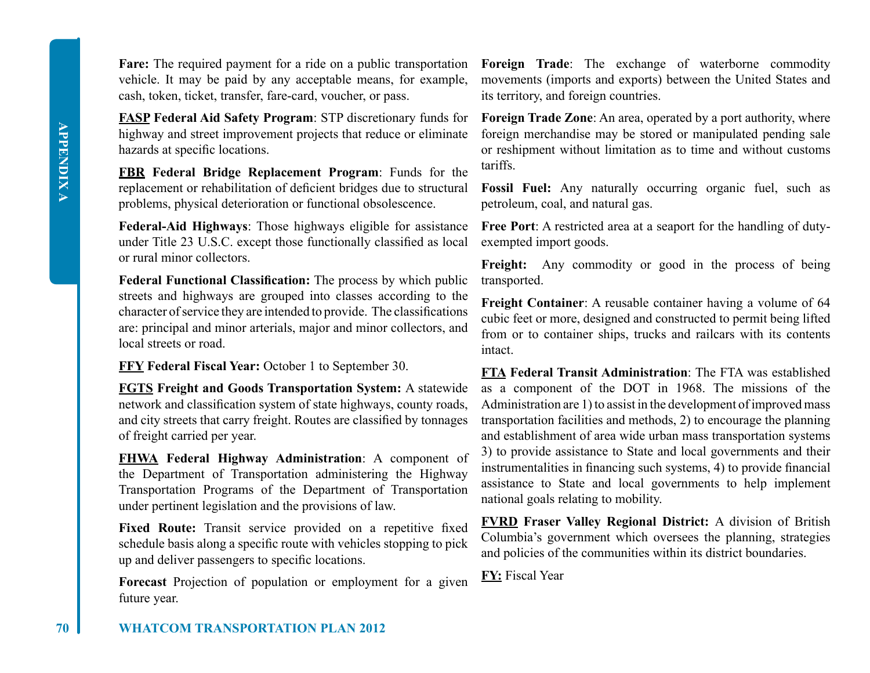**APPENDIX A APPENDIX A**

**Fare:** The required payment for a ride on a public transportation vehicle. It may be paid by any acceptable means, for example, cash, token, ticket, transfer, fare-card, voucher, or pass.

**FASP Federal Aid Safety Program**: STP discretionary funds for highway and street improvement projects that reduce or eliminate hazards at specific locations.

**FBR Federal Bridge Replacement Program**: Funds for the replacement or rehabilitation of deficient bridges due to structural problems, physical deterioration or functional obsolescence.

**Federal-Aid Highways**: Those highways eligible for assistance under Title 23 U.S.C. except those functionally classified as local or rural minor collectors.

**Federal Functional Classification:** The process by which public streets and highways are grouped into classes according to the character of service they are intended to provide. The classifications are: principal and minor arterials, major and minor collectors, and local streets or road.

**FFY Federal Fiscal Year:** October 1 to September 30.

**FGTS Freight and Goods Transportation System:** A statewide network and classification system of state highways, county roads, and city streets that carry freight. Routes are classified by tonnages of freight carried per year.

**FHWA Federal Highway Administration**: A component of the Department of Transportation administering the Highway Transportation Programs of the Department of Transportation under pertinent legislation and the provisions of law.

Fixed Route: Transit service provided on a repetitive fixed schedule basis along a specific route with vehicles stopping to pick up and deliver passengers to specific locations.

**Forecast** Projection of population or employment for a given future year.

**Foreign Trade**: The exchange of waterborne commodity movements (imports and exports) between the United States and its territory, and foreign countries.

**Foreign Trade Zone**: An area, operated by a port authority, where foreign merchandise may be stored or manipulated pending sale or reshipment without limitation as to time and without customs tariffs.

**Fossil Fuel:** Any naturally occurring organic fuel, such as petroleum, coal, and natural gas.

**Free Port**: A restricted area at a seaport for the handling of dutyexempted import goods.

Freight: Any commodity or good in the process of being transported.

**Freight Container**: A reusable container having a volume of 64 cubic feet or more, designed and constructed to permit being lifted from or to container ships, trucks and railcars with its contents intact.

**FTA Federal Transit Administration**: The FTA was established as a component of the DOT in 1968. The missions of the Administration are 1) to assist in the development of improved mass transportation facilities and methods, 2) to encourage the planning and establishment of area wide urban mass transportation systems 3) to provide assistance to State and local governments and their instrumentalities in financing such systems, 4) to provide financial assistance to State and local governments to help implement national goals relating to mobility.

**FVRD Fraser Valley Regional District:** A division of British Columbia's government which oversees the planning, strategies and policies of the communities within its district boundaries.

**FY:** Fiscal Year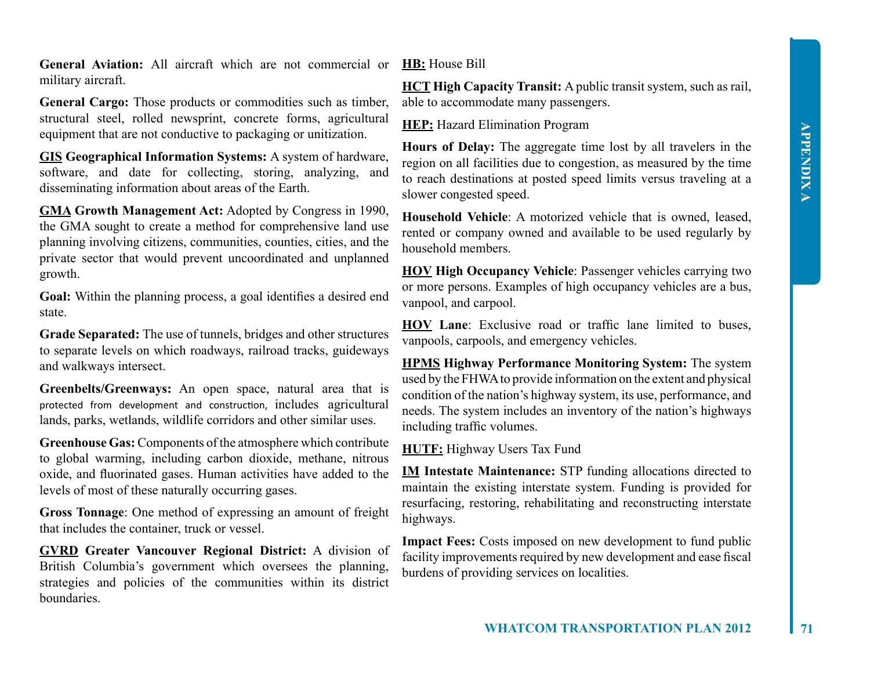**General Aviation:** All aircraft which are not commercial or military aircraft.

**General Cargo:** Those products or commodities such as timber, structural steel, rolled newsprint, concrete forms, agricultural equipment that are not conductive to packaging or unitization.

**GIS Geographical Information Systems:** A system of hardware, software, and date for collecting, storing, analyzing, and disseminating information about areas of the Earth.

**GMA Growth Management Act:** Adopted by Congress in 1990, the GMA sought to create a method for comprehensive land use planning involving citizens, communities, counties, cities, and the private sector that would prevent uncoordinated and unplanned growth.

**Goal:** Within the planning process, a goal identifies a desired end state.

**Grade Separated:** The use of tunnels, bridges and other structures to separate levels on which roadways, railroad tracks, guideways and walkways intersect.

**Greenbelts/Greenways:** An open space, natural area that is protected from development and construction, includes agricultural lands, parks, wetlands, wildlife corridors and other similar uses.

**Greenhouse Gas:** Components of the atmosphere which contribute to global warming, including carbon dioxide, methane, nitrous oxide, and fluorinated gases. Human activities have added to the levels of most of these naturally occurring gases.

**Gross Tonnage**: One method of expressing an amount of freight that includes the container, truck or vessel.

**GVRD Greater Vancouver Regional District:** A division of British Columbia's government which oversees the planning, strategies and policies of the communities within its district boundaries.

**HB:** House Bill

**HCT High Capacity Transit:** A public transit system, such as rail, able to accommodate many passengers.

**HEP:** Hazard Elimination Program

**Hours of Delay:** The aggregate time lost by all travelers in the region on all facilities due to congestion, as measured by the time to reach destinations at posted speed limits versus traveling at a slower congested speed.

**Household Vehicle**: A motorized vehicle that is owned, leased, rented or company owned and available to be used regularly by household members.

**HOV High Occupancy Vehicle**: Passenger vehicles carrying two or more persons. Examples of high occupancy vehicles are a bus, vanpool, and carpool.

**HOV Lane**: Exclusive road or traffic lane limited to buses, vanpools, carpools, and emergency vehicles.

**HPMS Highway Performance Monitoring System:** The system used by the FHWA to provide information on the extent and physical condition of the nation's highway system, its use, performance, and needs. The system includes an inventory of the nation's highways including traffic volumes.

**HUTF:** Highway Users Tax Fund

**IM Intestate Maintenance:** STP funding allocations directed to maintain the existing interstate system. Funding is provided for resurfacing, restoring, rehabilitating and reconstructing interstate highways.

**Impact Fees:** Costs imposed on new development to fund public facility improvements required by new development and ease fiscal burdens of providing services on localities.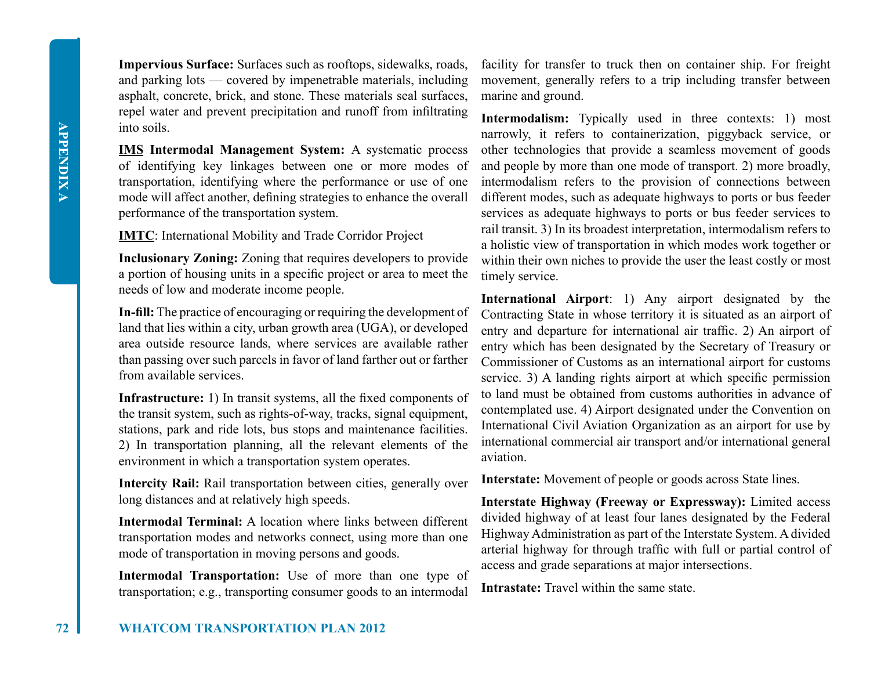**Impervious Surface:** Surfaces such as rooftops, sidewalks, roads, and parking lots — covered by impenetrable materials, including asphalt, concrete, brick, and stone. These materials seal surfaces, repel water and prevent precipitation and runoff from infiltrating into soils.

**IMS Intermodal Management System:** A systematic process of identifying key linkages between one or more modes of transportation, identifying where the performance or use of one mode will affect another, defining strategies to enhance the overall performance of the transportation system.

**IMTC**: International Mobility and Trade Corridor Project

**Inclusionary Zoning:** Zoning that requires developers to provide a portion of housing units in a specific project or area to meet the needs of low and moderate income people.

**In-fill:** The practice of encouraging or requiring the development of land that lies within a city, urban growth area (UGA), or developed area outside resource lands, where services are available rather than passing over such parcels in favor of land farther out or farther from available services.

**Infrastructure:** 1) In transit systems, all the fixed components of the transit system, such as rights-of-way, tracks, signal equipment, stations, park and ride lots, bus stops and maintenance facilities. 2) In transportation planning, all the relevant elements of the environment in which a transportation system operates.

**Intercity Rail:** Rail transportation between cities, generally over long distances and at relatively high speeds.

**Intermodal Terminal:** A location where links between different transportation modes and networks connect, using more than one mode of transportation in moving persons and goods.

**Intermodal Transportation:** Use of more than one type of transportation; e.g., transporting consumer goods to an intermodal

facility for transfer to truck then on container ship. For freight movement, generally refers to a trip including transfer between marine and ground.

**Intermodalism:** Typically used in three contexts: 1) most narrowly, it refers to containerization, piggyback service, or other technologies that provide a seamless movement of goods and people by more than one mode of transport. 2) more broadly, intermodalism refers to the provision of connections between different modes, such as adequate highways to ports or bus feeder services as adequate highways to ports or bus feeder services to rail transit. 3) In its broadest interpretation, intermodalism refers to a holistic view of transportation in which modes work together or within their own niches to provide the user the least costly or most timely service.

**International Airport**: 1) Any airport designated by the Contracting State in whose territory it is situated as an airport of entry and departure for international air traffic. 2) An airport of entry which has been designated by the Secretary of Treasury or Commissioner of Customs as an international airport for customs service. 3) A landing rights airport at which specific permission to land must be obtained from customs authorities in advance of contemplated use. 4) Airport designated under the Convention on International Civil Aviation Organization as an airport for use by international commercial air transport and/or international general aviation.

**Interstate:** Movement of people or goods across State lines.

**Interstate Highway (Freeway or Expressway):** Limited access divided highway of at least four lanes designated by the Federal Highway Administration as part of the Interstate System. A divided arterial highway for through traffic with full or partial control of access and grade separations at major intersections.

**Intrastate:** Travel within the same state.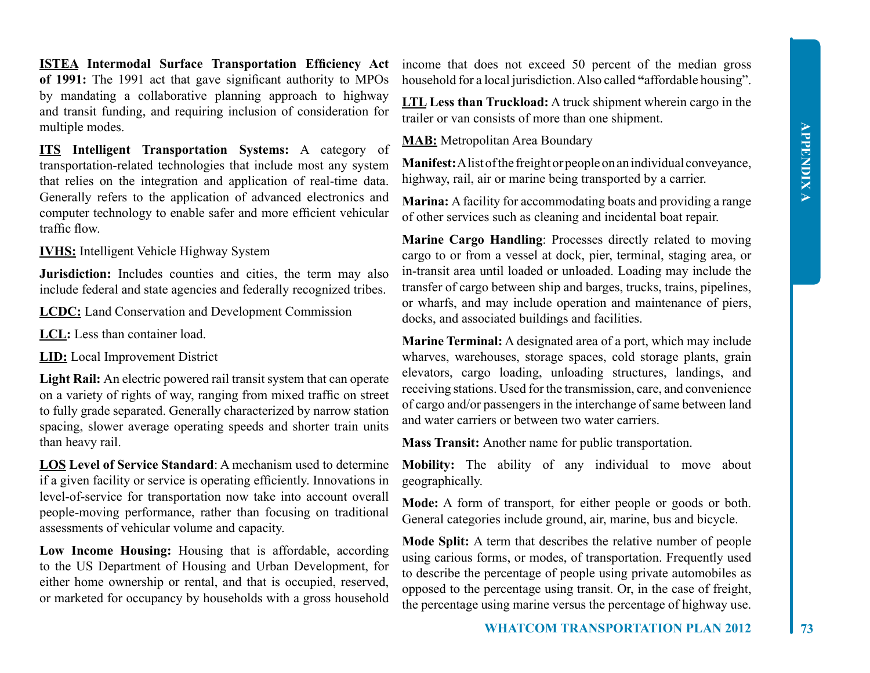**ISTEA Intermodal Surface Transportation Efficiency Act of 1991:** The 1991 act that gave significant authority to MPOs by mandating a collaborative planning approach to highway and transit funding, and requiring inclusion of consideration for multiple modes.

**ITS Intelligent Transportation Systems:** A category of transportation-related technologies that include most any system that relies on the integration and application of real-time data. Generally refers to the application of advanced electronics and computer technology to enable safer and more efficient vehicular traffic flow.

**IVHS:** Intelligent Vehicle Highway System

**Jurisdiction:** Includes counties and cities, the term may also include federal and state agencies and federally recognized tribes.

**LCDC:** Land Conservation and Development Commission

**LCL:** Less than container load.

**LID:** Local Improvement District

**Light Rail:** An electric powered rail transit system that can operate on a variety of rights of way, ranging from mixed traffic on street to fully grade separated. Generally characterized by narrow station spacing, slower average operating speeds and shorter train units than heavy rail.

**LOS Level of Service Standard**: A mechanism used to determine if a given facility or service is operating efficiently. Innovations in level-of-service for transportation now take into account overall people-moving performance, rather than focusing on traditional assessments of vehicular volume and capacity.

**Low Income Housing:** Housing that is affordable, according to the US Department of Housing and Urban Development, for either home ownership or rental, and that is occupied, reserved, or marketed for occupancy by households with a gross household

income that does not exceed 50 percent of the median gross household for a local jurisdiction. Also called **"**affordable housing".

**LTL Less than Truckload:** A truck shipment wherein cargo in the trailer or van consists of more than one shipment.

**MAB:** Metropolitan Area Boundary

**Manifest:** A list of the freight or people on an individual conveyance, highway, rail, air or marine being transported by a carrier.

**Marina:** A facility for accommodating boats and providing a range of other services such as cleaning and incidental boat repair.

**Marine Cargo Handling**: Processes directly related to moving cargo to or from a vessel at dock, pier, terminal, staging area, or in-transit area until loaded or unloaded. Loading may include the transfer of cargo between ship and barges, trucks, trains, pipelines, or wharfs, and may include operation and maintenance of piers, docks, and associated buildings and facilities.

**Marine Terminal:** A designated area of a port, which may include wharves, warehouses, storage spaces, cold storage plants, grain elevators, cargo loading, unloading structures, landings, and receiving stations. Used for the transmission, care, and convenience of cargo and/or passengers in the interchange of same between land and water carriers or between two water carriers.

**Mass Transit:** Another name for public transportation.

**Mobility:** The ability of any individual to move about geographically.

**Mode:** A form of transport, for either people or goods or both. General categories include ground, air, marine, bus and bicycle.

**Mode Split:** A term that describes the relative number of people using carious forms, or modes, of transportation. Frequently used to describe the percentage of people using private automobiles as opposed to the percentage using transit. Or, in the case of freight, the percentage using marine versus the percentage of highway use.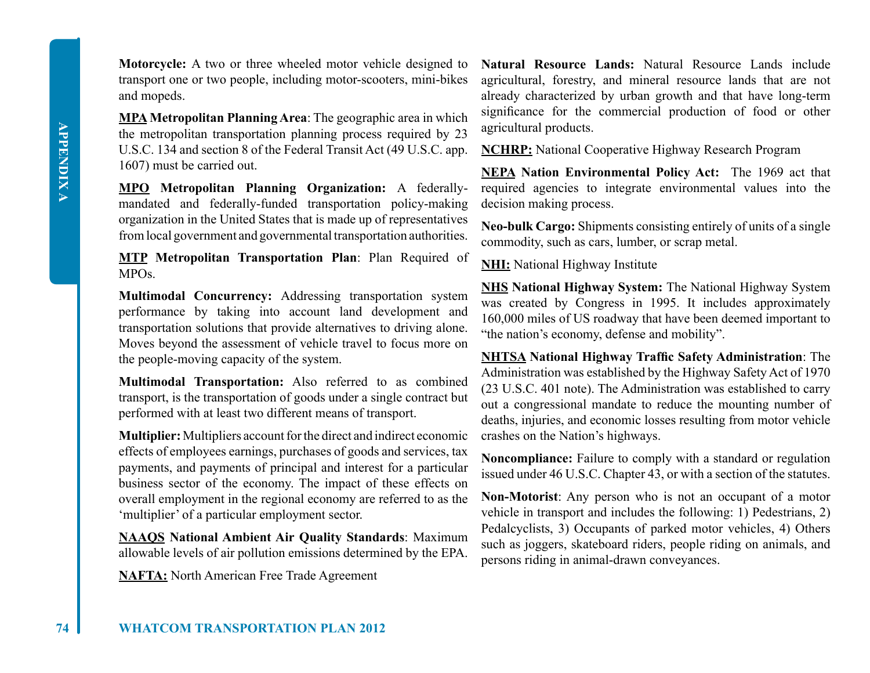**Motorcycle:** A two or three wheeled motor vehicle designed to transport one or two people, including motor-scooters, mini-bikes and mopeds.

**MPA Metropolitan Planning Area**: The geographic area in which the metropolitan transportation planning process required by 23 U.S.C. 134 and section 8 of the Federal Transit Act (49 U.S.C. app. 1607) must be carried out.

**MPO Metropolitan Planning Organization:** A federallymandated and federally-funded transportation policy-making organization in the United States that is made up of representatives from local government and governmental transportation authorities.

**MTP Metropolitan Transportation Plan**: Plan Required of MPOs.

**Multimodal Concurrency:** Addressing transportation system performance by taking into account land development and transportation solutions that provide alternatives to driving alone. Moves beyond the assessment of vehicle travel to focus more on the people-moving capacity of the system.

**Multimodal Transportation:** Also referred to as combined transport, is the transportation of goods under a single contract but performed with at least two different means of transport.

**Multiplier:** Multipliers account for the direct and indirect economic effects of employees earnings, purchases of goods and services, tax payments, and payments of principal and interest for a particular business sector of the economy. The impact of these effects on overall employment in the regional economy are referred to as the 'multiplier' of a particular employment sector.

**NAAQS National Ambient Air Quality Standards**: Maximum allowable levels of air pollution emissions determined by the EPA.

**NAFTA:** North American Free Trade Agreement

**Natural Resource Lands:** Natural Resource Lands include agricultural, forestry, and mineral resource lands that are not already characterized by urban growth and that have long-term significance for the commercial production of food or other agricultural products.

**NCHRP:** National Cooperative Highway Research Program

**NEPA Nation Environmental Policy Act:** The 1969 act that required agencies to integrate environmental values into the decision making process.

**Neo-bulk Cargo:** Shipments consisting entirely of units of a single commodity, such as cars, lumber, or scrap metal.

**NHI:** National Highway Institute

**NHS National Highway System:** The National Highway System was created by Congress in 1995. It includes approximately 160,000 miles of US roadway that have been deemed important to "the nation's economy, defense and mobility".

**NHTSA National Highway Traffic Safety Administration**: The Administration was established by the Highway Safety Act of 1970 (23 U.S.C. 401 note). The Administration was established to carry out a congressional mandate to reduce the mounting number of deaths, injuries, and economic losses resulting from motor vehicle crashes on the Nation's highways.

**Noncompliance:** Failure to comply with a standard or regulation issued under 46 U.S.C. Chapter 43, or with a section of the statutes.

**Non-Motorist**: Any person who is not an occupant of a motor vehicle in transport and includes the following: 1) Pedestrians, 2) Pedalcyclists, 3) Occupants of parked motor vehicles, 4) Others such as joggers, skateboard riders, people riding on animals, and persons riding in animal-drawn conveyances.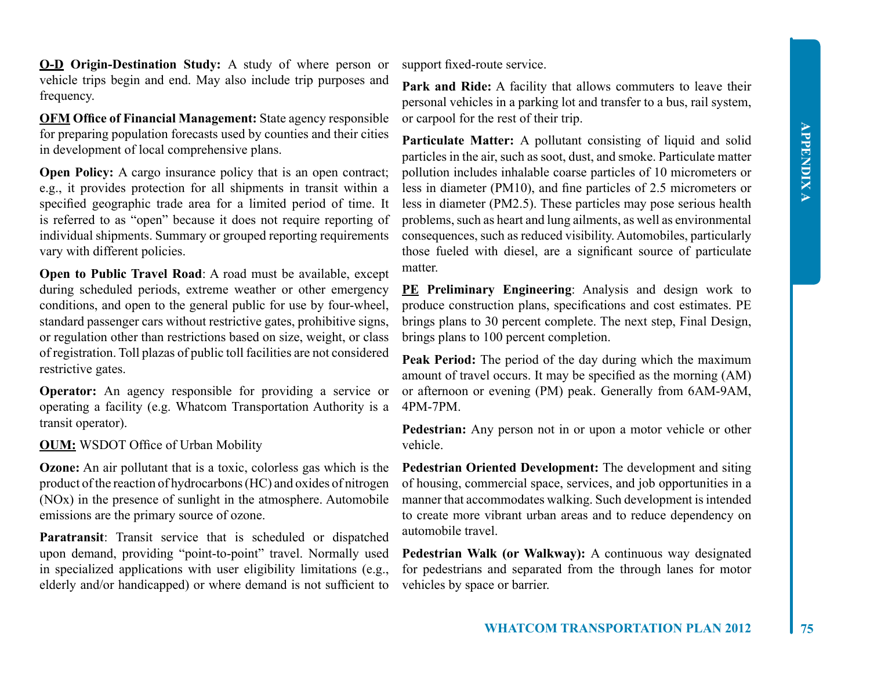**O-D Origin-Destination Study:** A study of where person or vehicle trips begin and end. May also include trip purposes and frequency.

**OFM Office of Financial Management:** State agency responsible for preparing population forecasts used by counties and their cities in development of local comprehensive plans.

**Open Policy:** A cargo insurance policy that is an open contract; e.g., it provides protection for all shipments in transit within a specified geographic trade area for a limited period of time. It is referred to as "open" because it does not require reporting of individual shipments. Summary or grouped reporting requirements vary with different policies.

**Open to Public Travel Road:** A road must be available, except during scheduled periods, extreme weather or other emergency conditions, and open to the general public for use by four-wheel, standard passenger cars without restrictive gates, prohibitive signs, or regulation other than restrictions based on size, weight, or class of registration. Toll plazas of public toll facilities are not considered restrictive gates.

**Operator:** An agency responsible for providing a service or operating a facility (e.g. Whatcom Transportation Authority is a transit operator).

**OUM:** WSDOT Office of Urban Mobility

**Ozone:** An air pollutant that is a toxic, colorless gas which is the product of the reaction of hydrocarbons (HC) and oxides of nitrogen (NOx) in the presence of sunlight in the atmosphere. Automobile emissions are the primary source of ozone.

**Paratransit**: Transit service that is scheduled or dispatched upon demand, providing "point-to-point" travel. Normally used in specialized applications with user eligibility limitations (e.g., elderly and/or handicapped) or where demand is not sufficient to

support fixed-route service.

Park and Ride: A facility that allows commuters to leave their personal vehicles in a parking lot and transfer to a bus, rail system, or carpool for the rest of their trip.

Particulate Matter: A pollutant consisting of liquid and solid particles in the air, such as soot, dust, and smoke. Particulate matter pollution includes inhalable coarse particles of 10 micrometers or less in diameter (PM10), and fine particles of 2.5 micrometers or less in diameter (PM2.5). These particles may pose serious health problems, such as heart and lung ailments, as well as environmental consequences, such as reduced visibility. Automobiles, particularly those fueled with diesel, are a significant source of particulate matter.

**PE Preliminary Engineering**: Analysis and design work to produce construction plans, specifications and cost estimates. PE brings plans to 30 percent complete. The next step, Final Design, brings plans to 100 percent completion.

**Peak Period:** The period of the day during which the maximum amount of travel occurs. It may be specified as the morning (AM) or afternoon or evening (PM) peak. Generally from 6AM-9AM, 4PM-7PM.

**Pedestrian:** Any person not in or upon a motor vehicle or other vehicle.

**Pedestrian Oriented Development:** The development and siting of housing, commercial space, services, and job opportunities in a manner that accommodates walking. Such development is intended to create more vibrant urban areas and to reduce dependency on automobile travel.

**Pedestrian Walk (or Walkway):** A continuous way designated for pedestrians and separated from the through lanes for motor vehicles by space or barrier.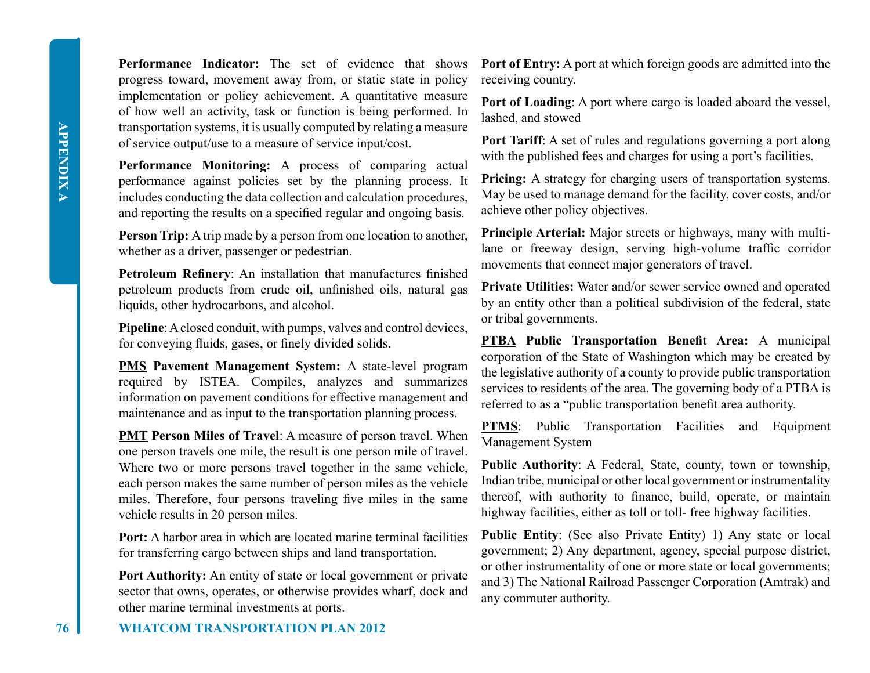**Performance Indicator:** The set of evidence that shows progress toward, movement away from, or static state in policy implementation or policy achievement. A quantitative measure of how well an activity, task or function is being performed. In transportation systems, it is usually computed by relating a measure of service output/use to a measure of service input/cost.

**Performance Monitoring:** A process of comparing actual performance against policies set by the planning process. It includes conducting the data collection and calculation procedures, and reporting the results on a specified regular and ongoing basis.

**Person Trip:** A trip made by a person from one location to another, whether as a driver, passenger or pedestrian.

**Petroleum Refinery**: An installation that manufactures finished petroleum products from crude oil, unfinished oils, natural gas liquids, other hydrocarbons, and alcohol.

**Pipeline**: A closed conduit, with pumps, valves and control devices, for conveying fluids, gases, or finely divided solids.

**PMS Pavement Management System:** A state-level program required by ISTEA. Compiles, analyzes and summarizes information on pavement conditions for effective management and maintenance and as input to the transportation planning process.

**PMT Person Miles of Travel**: A measure of person travel. When one person travels one mile, the result is one person mile of travel. Where two or more persons travel together in the same vehicle, each person makes the same number of person miles as the vehicle miles. Therefore, four persons traveling five miles in the same vehicle results in 20 person miles.

**Port:** A harbor area in which are located marine terminal facilities for transferring cargo between ships and land transportation.

**Port Authority:** An entity of state or local government or private sector that owns, operates, or otherwise provides wharf, dock and other marine terminal investments at ports.

**Port of Entry:** A port at which foreign goods are admitted into the receiving country.

**Port of Loading**: A port where cargo is loaded aboard the vessel, lashed, and stowed

**Port Tariff**: A set of rules and regulations governing a port along with the published fees and charges for using a port's facilities.

**Pricing:** A strategy for charging users of transportation systems. May be used to manage demand for the facility, cover costs, and/or achieve other policy objectives.

**Principle Arterial:** Major streets or highways, many with multilane or freeway design, serving high-volume traffic corridor movements that connect major generators of travel.

**Private Utilities:** Water and/or sewer service owned and operated by an entity other than a political subdivision of the federal, state or tribal governments.

**PTBA Public Transportation Benefit Area:** A municipal corporation of the State of Washington which may be created by the legislative authority of a county to provide public transportation services to residents of the area. The governing body of a PTBA is referred to as a "public transportation benefit area authority.

**PTMS**: Public Transportation Facilities and Equipment Management System

**Public Authority**: A Federal, State, county, town or township, Indian tribe, municipal or other local government or instrumentality thereof, with authority to finance, build, operate, or maintain highway facilities, either as toll or toll- free highway facilities.

**Public Entity**: (See also Private Entity) 1) Any state or local government; 2) Any department, agency, special purpose district, or other instrumentality of one or more state or local governments; and 3) The National Railroad Passenger Corporation (Amtrak) and any commuter authority.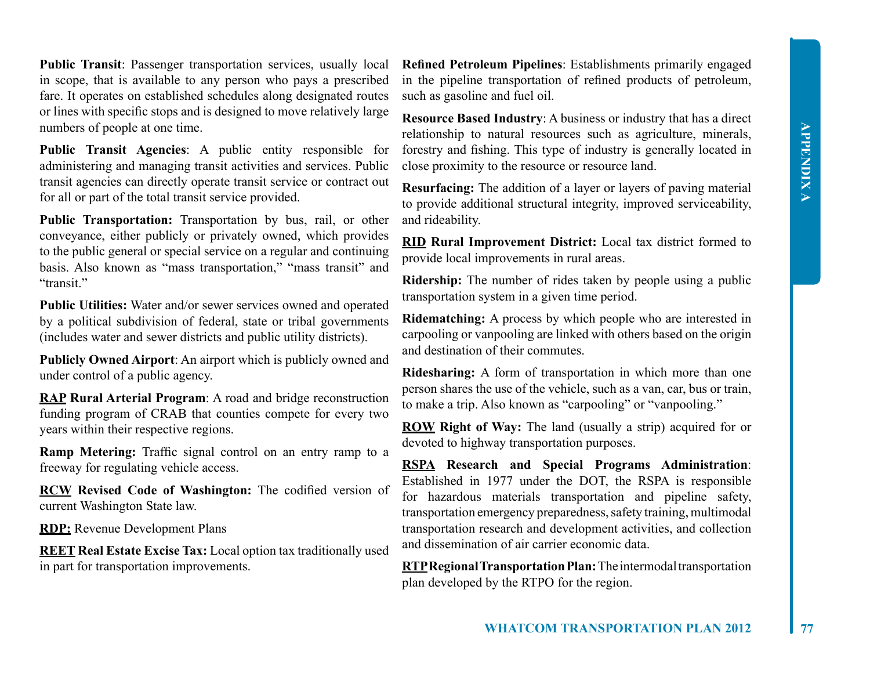**Public Transit**: Passenger transportation services, usually local in scope, that is available to any person who pays a prescribed fare. It operates on established schedules along designated routes or lines with specific stops and is designed to move relatively large numbers of people at one time.

**Public Transit Agencies**: A public entity responsible for administering and managing transit activities and services. Public transit agencies can directly operate transit service or contract out for all or part of the total transit service provided.

**Public Transportation:** Transportation by bus, rail, or other conveyance, either publicly or privately owned, which provides to the public general or special service on a regular and continuing basis. Also known as "mass transportation," "mass transit" and "transit."

**Public Utilities:** Water and/or sewer services owned and operated by a political subdivision of federal, state or tribal governments (includes water and sewer districts and public utility districts).

**Publicly Owned Airport**: An airport which is publicly owned and under control of a public agency.

**RAP Rural Arterial Program**: A road and bridge reconstruction funding program of CRAB that counties compete for every two years within their respective regions.

**Ramp Metering:** Traffic signal control on an entry ramp to a freeway for regulating vehicle access.

**RCW Revised Code of Washington:** The codified version of current Washington State law.

**RDP:** Revenue Development Plans

**REET Real Estate Excise Tax:** Local option tax traditionally used in part for transportation improvements.

**Refined Petroleum Pipelines**: Establishments primarily engaged in the pipeline transportation of refined products of petroleum, such as gasoline and fuel oil.

**Resource Based Industry**: A business or industry that has a direct relationship to natural resources such as agriculture, minerals, forestry and fishing. This type of industry is generally located in close proximity to the resource or resource land.

**Resurfacing:** The addition of a layer or layers of paving material to provide additional structural integrity, improved serviceability, and rideability.

**RID Rural Improvement District:** Local tax district formed to provide local improvements in rural areas.

**Ridership:** The number of rides taken by people using a public transportation system in a given time period.

**Ridematching:** A process by which people who are interested in carpooling or vanpooling are linked with others based on the origin and destination of their commutes.

**Ridesharing:** A form of transportation in which more than one person shares the use of the vehicle, such as a van, car, bus or train, to make a trip. Also known as "carpooling" or "vanpooling."

**ROW Right of Way:** The land (usually a strip) acquired for or devoted to highway transportation purposes.

**RSPA Research and Special Programs Administration**: Established in 1977 under the DOT, the RSPA is responsible for hazardous materials transportation and pipeline safety, transportation emergency preparedness, safety training, multimodal transportation research and development activities, and collection and dissemination of air carrier economic data.

**RTP Regional Transportation Plan:** The intermodal transportation plan developed by the RTPO for the region.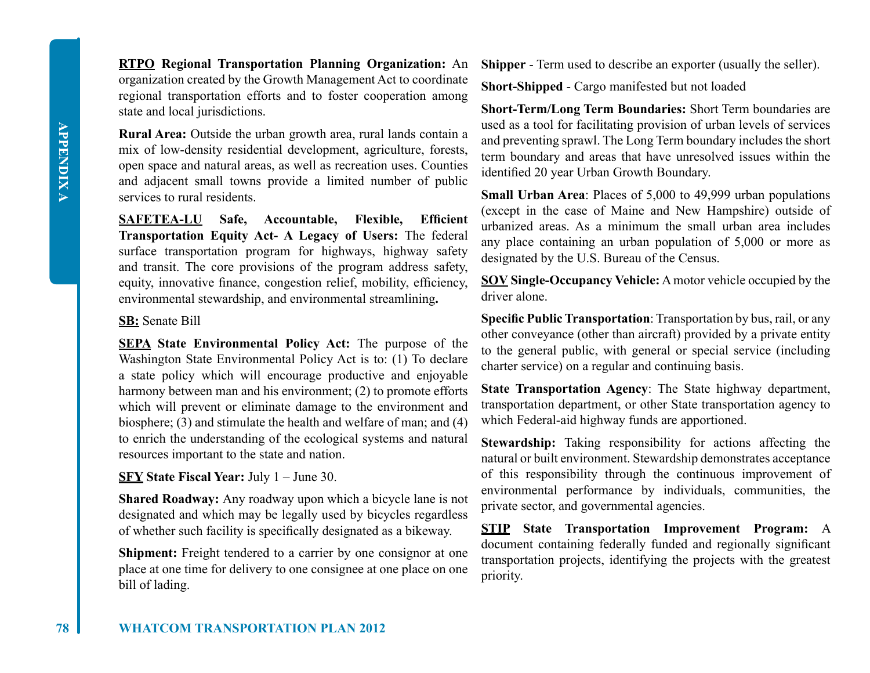**RTPO Regional Transportation Planning Organization:** An organization created by the Growth Management Act to coordinate regional transportation efforts and to foster cooperation among state and local jurisdictions.

**Rural Area:** Outside the urban growth area, rural lands contain a mix of low-density residential development, agriculture, forests, open space and natural areas, as well as recreation uses. Counties and adjacent small towns provide a limited number of public services to rural residents.

**SAFETEA-LU Safe, Accountable, Flexible, Efficient Transportation Equity Act- A Legacy of Users:** The federal surface transportation program for highways, highway safety and transit. The core provisions of the program address safety, equity, innovative finance, congestion relief, mobility, efficiency, environmental stewardship, and environmental streamlining**.** 

#### **SB:** Senate Bill

**SEPA State Environmental Policy Act:** The purpose of the Washington State Environmental Policy Act is to: (1) To declare a state policy which will encourage productive and enjoyable harmony between man and his environment; (2) to promote efforts which will prevent or eliminate damage to the environment and biosphere; (3) and stimulate the health and welfare of man; and (4) to enrich the understanding of the ecological systems and natural resources important to the state and nation.

#### **SFY State Fiscal Year:** July 1 – June 30.

**Shared Roadway:** Any roadway upon which a bicycle lane is not designated and which may be legally used by bicycles regardless of whether such facility is specifically designated as a bikeway.

**Shipment:** Freight tendered to a carrier by one consignor at one place at one time for delivery to one consignee at one place on one bill of lading.

**Shipper** - Term used to describe an exporter (usually the seller).

**Short-Shipped** - Cargo manifested but not loaded

**Short-Term/Long Term Boundaries:** Short Term boundaries are used as a tool for facilitating provision of urban levels of services and preventing sprawl. The Long Term boundary includes the short term boundary and areas that have unresolved issues within the identified 20 year Urban Growth Boundary.

**Small Urban Area**: Places of 5,000 to 49,999 urban populations (except in the case of Maine and New Hampshire) outside of urbanized areas. As a minimum the small urban area includes any place containing an urban population of 5,000 or more as designated by the U.S. Bureau of the Census.

**SOV Single-Occupancy Vehicle:** A motor vehicle occupied by the driver alone.

**Specific Public Transportation**: Transportation by bus, rail, or any other conveyance (other than aircraft) provided by a private entity to the general public, with general or special service (including charter service) on a regular and continuing basis.

**State Transportation Agency**: The State highway department, transportation department, or other State transportation agency to which Federal-aid highway funds are apportioned.

**Stewardship:** Taking responsibility for actions affecting the natural or built environment. Stewardship demonstrates acceptance of this responsibility through the continuous improvement of environmental performance by individuals, communities, the private sector, and governmental agencies.

**STIP State Transportation Improvement Program:** A document containing federally funded and regionally significant transportation projects, identifying the projects with the greatest priority.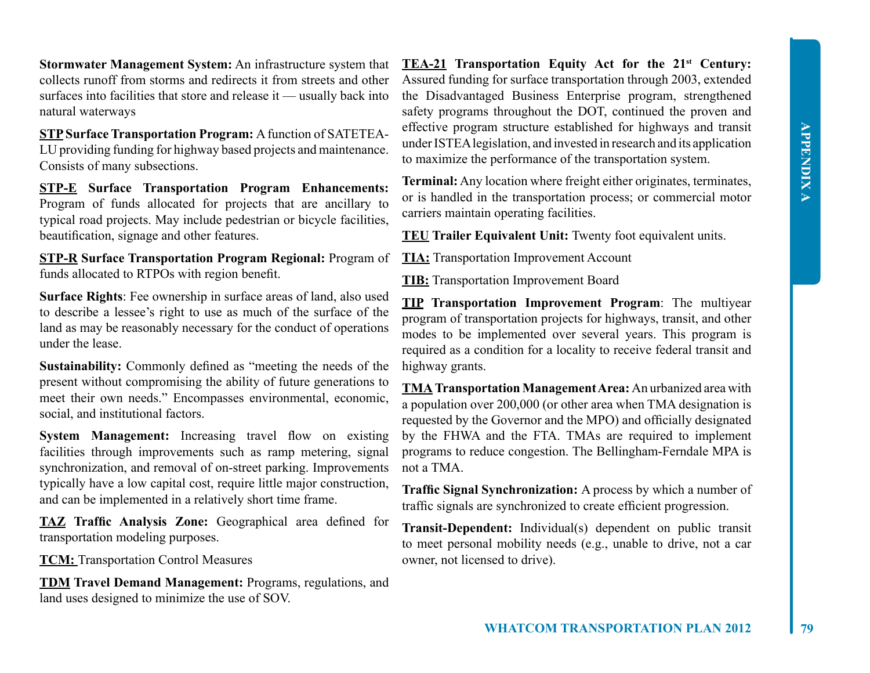**Stormwater Management System:** An infrastructure system that collects runoff from storms and redirects it from streets and other surfaces into facilities that store and release it — usually back into natural waterways

**STP Surface Transportation Program:** A function of SATETEA-LU providing funding for highway based projects and maintenance. Consists of many subsections.

**STP-E Surface Transportation Program Enhancements:**  Program of funds allocated for projects that are ancillary to typical road projects. May include pedestrian or bicycle facilities, beautification, signage and other features.

**STP-R Surface Transportation Program Regional:** Program of funds allocated to RTPOs with region benefit.

**Surface Rights**: Fee ownership in surface areas of land, also used to describe a lessee's right to use as much of the surface of the land as may be reasonably necessary for the conduct of operations under the lease.

**Sustainability:** Commonly defined as "meeting the needs of the present without compromising the ability of future generations to meet their own needs." Encompasses environmental, economic, social, and institutional factors.

**System Management:** Increasing travel flow on existing facilities through improvements such as ramp metering, signal synchronization, and removal of on-street parking. Improvements typically have a low capital cost, require little major construction, and can be implemented in a relatively short time frame.

**TAZ Traffic Analysis Zone:** Geographical area defined for transportation modeling purposes.

**TCM:** Transportation Control Measures

**TDM Travel Demand Management:** Programs, regulations, and land uses designed to minimize the use of SOV.

**TEA-21 Transportation Equity Act for the 21st Century:**  Assured funding for surface transportation through 2003, extended the Disadvantaged Business Enterprise program, strengthened safety programs throughout the DOT, continued the proven and effective program structure established for highways and transit under ISTEA legislation, and invested in research and its application to maximize the performance of the transportation system.

**Terminal:** Any location where freight either originates, terminates, or is handled in the transportation process; or commercial motor carriers maintain operating facilities.

**TEU Trailer Equivalent Unit:** Twenty foot equivalent units.

**TIA:** Transportation Improvement Account

**TIB:** Transportation Improvement Board

**TIP Transportation Improvement Program**: The multiyear program of transportation projects for highways, transit, and other modes to be implemented over several years. This program is required as a condition for a locality to receive federal transit and highway grants.

**TMA Transportation Management Area:** An urbanized area with a population over 200,000 (or other area when TMA designation is requested by the Governor and the MPO) and officially designated by the FHWA and the FTA. TMAs are required to implement programs to reduce congestion. The Bellingham-Ferndale MPA is not a TMA.

**Traffic Signal Synchronization:** A process by which a number of traffic signals are synchronized to create efficient progression.

**Transit-Dependent:** Individual(s) dependent on public transit to meet personal mobility needs (e.g., unable to drive, not a car owner, not licensed to drive).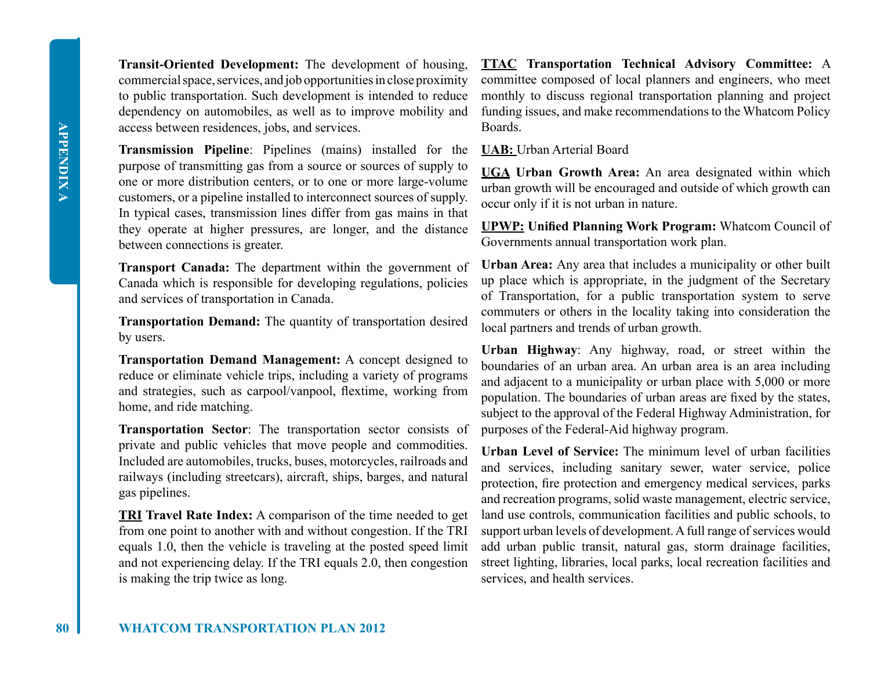**Transit-Oriented Development:** The development of housing, commercial space, services, and job opportunities in close proximity to public transportation. Such development is intended to reduce dependency on automobiles, as well as to improve mobility and access between residences, jobs, and services.

**Transmission Pipeline**: Pipelines (mains) installed for the purpose of transmitting gas from a source or sources of supply to one or more distribution centers, or to one or more large-volume customers, or a pipeline installed to interconnect sources of supply. In typical cases, transmission lines differ from gas mains in that they operate at higher pressures, are longer, and the distance between connections is greater.

**Transport Canada:** The department within the government of Canada which is responsible for developing regulations, policies and services of transportation in Canada.

**Transportation Demand:** The quantity of transportation desired by users.

**Transportation Demand Management:** A concept designed to reduce or eliminate vehicle trips, including a variety of programs and strategies, such as carpool/vanpool, flextime, working from home, and ride matching.

**Transportation Sector**: The transportation sector consists of private and public vehicles that move people and commodities. Included are automobiles, trucks, buses, motorcycles, railroads and railways (including streetcars), aircraft, ships, barges, and natural gas pipelines.

**TRI Travel Rate Index:** A comparison of the time needed to get from one point to another with and without congestion. If the TRI equals 1.0, then the vehicle is traveling at the posted speed limit and not experiencing delay. If the TRI equals 2.0, then congestion is making the trip twice as long.

**TTAC Transportation Technical Advisory Committee:** A committee composed of local planners and engineers, who meet monthly to discuss regional transportation planning and project funding issues, and make recommendations to the Whatcom Policy Boards.

**UAB:** Urban Arterial Board

**UGA Urban Growth Area:** An area designated within which urban growth will be encouraged and outside of which growth can occur only if it is not urban in nature.

**UPWP: Unified Planning Work Program:** Whatcom Council of Governments annual transportation work plan.

**Urban Area:** Any area that includes a municipality or other built up place which is appropriate, in the judgment of the Secretary of Transportation, for a public transportation system to serve commuters or others in the locality taking into consideration the local partners and trends of urban growth.

**Urban Highway**: Any highway, road, or street within the boundaries of an urban area. An urban area is an area including and adjacent to a municipality or urban place with 5,000 or more population. The boundaries of urban areas are fixed by the states, subject to the approval of the Federal Highway Administration, for purposes of the Federal-Aid highway program.

**Urban Level of Service:** The minimum level of urban facilities and services, including sanitary sewer, water service, police protection, fire protection and emergency medical services, parks and recreation programs, solid waste management, electric service, land use controls, communication facilities and public schools, to support urban levels of development. A full range of services would add urban public transit, natural gas, storm drainage facilities, street lighting, libraries, local parks, local recreation facilities and services, and health services.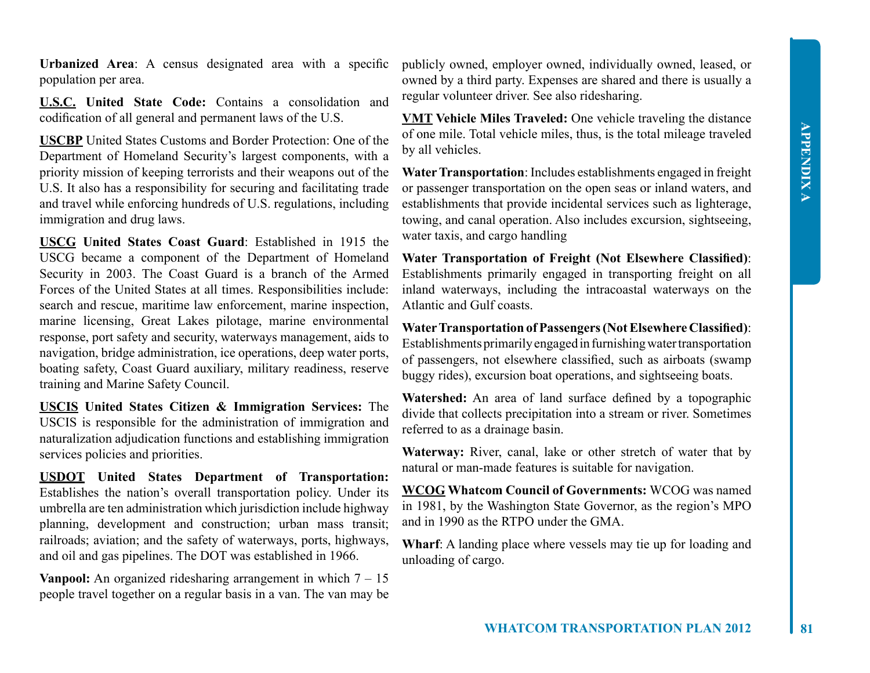**Urbanized Area**: A census designated area with a specific population per area.

**U.S.C. United State Code:** Contains a consolidation and codification of all general and permanent laws of the U.S.

**USCBP** United States Customs and Border Protection: One of the Department of Homeland Security's largest components, with a priority mission of keeping terrorists and their weapons out of the U.S. It also has a responsibility for securing and facilitating trade and travel while enforcing hundreds of U.S. regulations, including immigration and drug laws.

**USCG United States Coast Guard**: Established in 1915 the USCG became a component of the Department of Homeland Security in 2003. The Coast Guard is a branch of the Armed Forces of the United States at all times. Responsibilities include: search and rescue, maritime law enforcement, marine inspection, marine licensing, Great Lakes pilotage, marine environmental response, port safety and security, waterways management, aids to navigation, bridge administration, ice operations, deep water ports, boating safety, Coast Guard auxiliary, military readiness, reserve training and Marine Safety Council.

**USCIS United States Citizen & Immigration Services:** The USCIS is responsible for the administration of immigration and naturalization adjudication functions and establishing immigration services policies and priorities.

**USDOT United States Department of Transportation:**  Establishes the nation's overall transportation policy. Under its umbrella are ten administration which jurisdiction include highway planning, development and construction; urban mass transit; railroads; aviation; and the safety of waterways, ports, highways, and oil and gas pipelines. The DOT was established in 1966.

**Vanpool:** An organized ridesharing arrangement in which  $7 - 15$ people travel together on a regular basis in a van. The van may be

publicly owned, employer owned, individually owned, leased, or owned by a third party. Expenses are shared and there is usually a regular volunteer driver. See also ridesharing.

**VMT Vehicle Miles Traveled:** One vehicle traveling the distance of one mile. Total vehicle miles, thus, is the total mileage traveled by all vehicles.

**Water Transportation**: Includes establishments engaged in freight or passenger transportation on the open seas or inland waters, and establishments that provide incidental services such as lighterage, towing, and canal operation. Also includes excursion, sightseeing, water taxis, and cargo handling

**Water Transportation of Freight (Not Elsewhere Classified)**: Establishments primarily engaged in transporting freight on all inland waterways, including the intracoastal waterways on the Atlantic and Gulf coasts.

**Water Transportation of Passengers (Not Elsewhere Classified)**: Establishments primarily engaged in furnishing water transportation of passengers, not elsewhere classified, such as airboats (swamp buggy rides), excursion boat operations, and sightseeing boats.

**Watershed:** An area of land surface defined by a topographic divide that collects precipitation into a stream or river. Sometimes referred to as a drainage basin.

**Waterway:** River, canal, lake or other stretch of water that by natural or man-made features is suitable for navigation.

**WCOG Whatcom Council of Governments:** WCOG was named in 1981, by the Washington State Governor, as the region's MPO and in 1990 as the RTPO under the GMA.

**Wharf**: A landing place where vessels may tie up for loading and unloading of cargo.